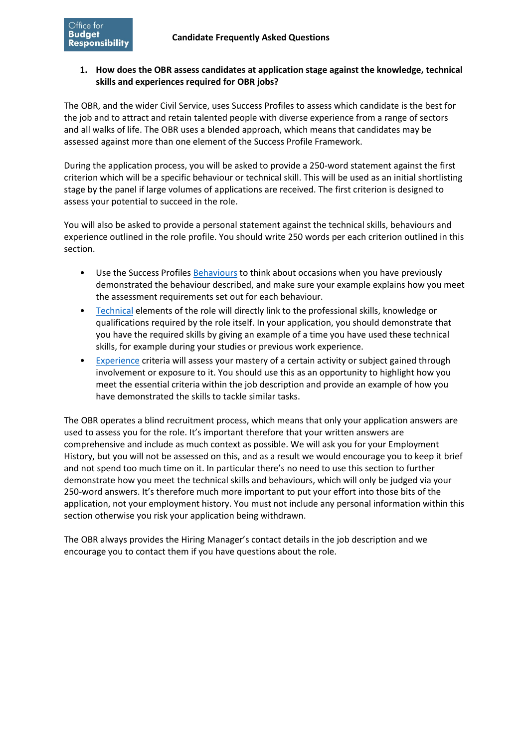## **skills and experiences required for OBR jobs? 1. How does the OBR assess candidates at application stage against the knowledge, technical**

The OBR, and the wider Civil Service, uses Success Profiles to assess which candidate is the best for the job and to attract and retain talented people with diverse experience from a range of sectors and all walks of life. The OBR uses a blended approach, which means that candidates may be assessed against more than one element of the Success Profile Framework.

 assess your potential to succeed in the role. During the application process, you will be asked to provide a 250-word statement against the first criterion which will be a specific behaviour or technical skill. This will be used as an initial shortlisting stage by the panel if large volumes of applications are received. The first criterion is designed to

You will also be asked to provide a personal statement against the technical skills, behaviours and experience outlined in the role profile. You should write 250 words per each criterion outlined in this section.

- demonstrated the behaviour described, and make sure your example explains how you meet • Use the Success Profiles [Behaviours](https://assets.publishing.service.gov.uk/government/uploads/system/uploads/attachment_data/file/717275/CS_Behaviours_2018.pdf) to think about occasions when you have previously the assessment requirements set out for each behaviour.
- [Technical](https://assets.publishing.service.gov.uk/government/uploads/system/uploads/attachment_data/file/744220/Success-Profiles-Technical-vFV.pdf) elements of the role will directly link to the professional skills, knowledge or qualifications required by the role itself. In your application, you should demonstrate that you have the required skills by giving an example of a time you have used these technical skills, for example during your studies or previous work experience.
- meet the essential criteria within the job description and provide an example of how you • [Experience](https://assets.publishing.service.gov.uk/government/uploads/system/uploads/attachment_data/file/744221/Success-Profiles-Experience-vFV.pdf) criteria will assess your mastery of a certain activity or subject gained through involvement or exposure to it. You should use this as an opportunity to highlight how you have demonstrated the skills to tackle similar tasks.

 History, but you will not be assessed on this, and as a result we would encourage you to keep it brief and not spend too much time on it. In particular there's no need to use this section to further application, not your employment history. You must not include any personal information within this The OBR operates a blind recruitment process, which means that only your application answers are used to assess you for the role. It's important therefore that your written answers are comprehensive and include as much context as possible. We will ask you for your Employment demonstrate how you meet the technical skills and behaviours, which will only be judged via your 250-word answers. It's therefore much more important to put your effort into those bits of the section otherwise you risk your application being withdrawn.

The OBR always provides the Hiring Manager's contact details in the job description and we encourage you to contact them if you have questions about the role.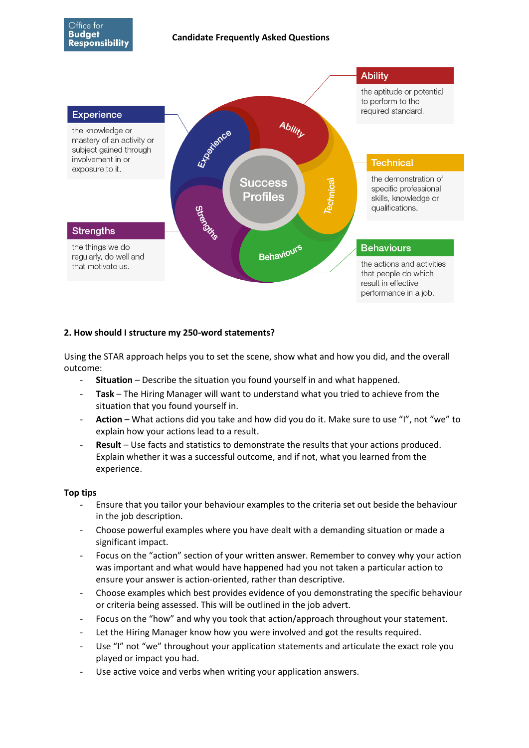

# **2. How should I structure my 250-word statements?**

Using the STAR approach helps you to set the scene, show what and how you did, and the overall outcome:

- **Situation**  Describe the situation you found yourself in and what happened.
- **Task**  The Hiring Manager will want to understand what you tried to achieve from the situation that you found yourself in.
- - **Action**  What actions did you take and how did you do it. Make sure to use "I", not "we" to explain how your actions lead to a result.
- **Result**  Use facts and statistics to demonstrate the results that your actions produced. Explain whether it was a successful outcome, and if not, what you learned from the experience.

#### **Top tips**

- - Ensure that you tailor your behaviour examples to the criteria set out beside the behaviour in the job description.
- - Choose powerful examples where you have dealt with a demanding situation or made a significant impact.
- - Focus on the "action" section of your written answer. Remember to convey why your action was important and what would have happened had you not taken a particular action to ensure your answer is action-oriented, rather than descriptive.
- Choose examples which best provides evidence of you demonstrating the specific behaviour or criteria being assessed. This will be outlined in the job advert.
- Focus on the "how" and why you took that action/approach throughout your statement.
- Let the Hiring Manager know how you were involved and got the results required.
- Use "I" not "we" throughout your application statements and articulate the exact role you played or impact you had.
- Use active voice and verbs when writing your application answers.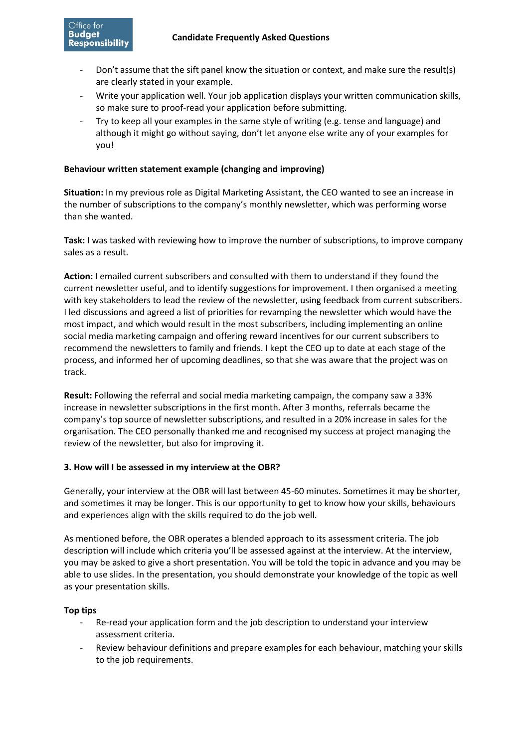- Don't assume that the sift panel know the situation or context, and make sure the result(s) are clearly stated in your example.
- Write your application well. Your job application displays your written communication skills, so make sure to proof-read your application before submitting.
- Try to keep all your examples in the same style of writing (e.g. tense and language) and although it might go without saying, don't let anyone else write any of your examples for you!

#### **Behaviour written statement example (changing and improving)**

**Situation:** In my previous role as Digital Marketing Assistant, the CEO wanted to see an increase in the number of subscriptions to the company's monthly newsletter, which was performing worse than she wanted.

**Task:** I was tasked with reviewing how to improve the number of subscriptions, to improve company sales as a result.

 process, and informed her of upcoming deadlines, so that she was aware that the project was on **Action:** I emailed current subscribers and consulted with them to understand if they found the current newsletter useful, and to identify suggestions for improvement. I then organised a meeting with key stakeholders to lead the review of the newsletter, using feedback from current subscribers. I led discussions and agreed a list of priorities for revamping the newsletter which would have the most impact, and which would result in the most subscribers, including implementing an online social media marketing campaign and offering reward incentives for our current subscribers to recommend the newsletters to family and friends. I kept the CEO up to date at each stage of the track.

 organisation. The CEO personally thanked me and recognised my success at project managing the **Result:** Following the referral and social media marketing campaign, the company saw a 33% increase in newsletter subscriptions in the first month. After 3 months, referrals became the company's top source of newsletter subscriptions, and resulted in a 20% increase in sales for the review of the newsletter, but also for improving it.

### **3. How will I be assessed in my interview at the OBR?**

Generally, your interview at the OBR will last between 45-60 minutes. Sometimes it may be shorter, and sometimes it may be longer. This is our opportunity to get to know how your skills, behaviours and experiences align with the skills required to do the job well.

As mentioned before, the OBR operates a blended approach to its assessment criteria. The job description will include which criteria you'll be assessed against at the interview. At the interview, you may be asked to give a short presentation. You will be told the topic in advance and you may be able to use slides. In the presentation, you should demonstrate your knowledge of the topic as well as your presentation skills.

#### **Top tips**

- Re-read your application form and the job description to understand your interview assessment criteria.
- Review behaviour definitions and prepare examples for each behaviour, matching your skills to the job requirements.